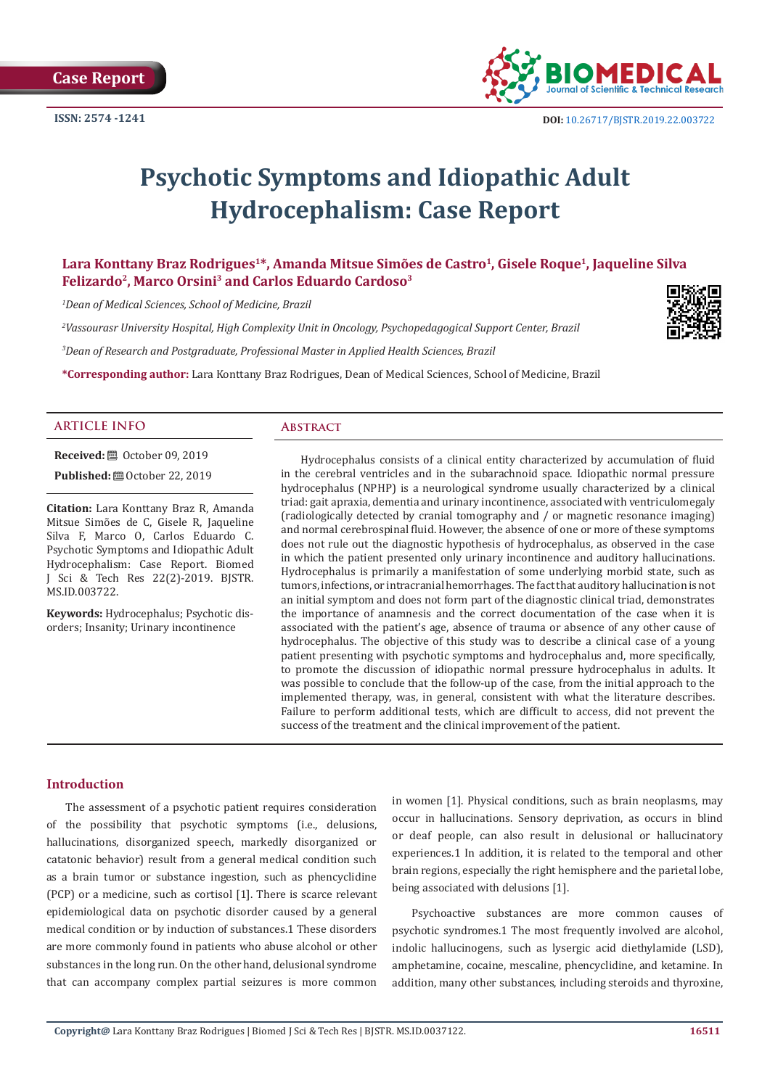

# **Psychotic Symptoms and Idiopathic Adult Hydrocephalism: Case Report**

Lara Konttany Braz Rodrigues<sup>1\*</sup>, Amanda Mitsue Simões de Castro<sup>1</sup>, Gisele Roque<sup>1</sup>, Jaqueline Silva **Felizardo2, Marco Orsini3 and Carlos Eduardo Cardoso3**

*1 Dean of Medical Sciences, School of Medicine, Brazil*

*2 Vassourasr University Hospital, High Complexity Unit in Oncology, Psychopedagogical Support Center, Brazil*

*3 Dean of Research and Postgraduate, Professional Master in Applied Health Sciences, Brazil*

**\*Corresponding author:** Lara Konttany Braz Rodrigues, Dean of Medical Sciences, School of Medicine, Brazil

#### **ARTICLE INFO Abstract**

**Received:** ■ October 09, 2019

**Published:** ■ October 22, 2019

**Citation:** Lara Konttany Braz R, Amanda Mitsue Simões de C, Gisele R, Jaqueline Silva F, Marco O, Carlos Eduardo C. Psychotic Symptoms and Idiopathic Adult Hydrocephalism: Case Report. Biomed J Sci & Tech Res 22(2)-2019. BJSTR. MS.ID.003722.

**Keywords:** Hydrocephalus; Psychotic disorders; Insanity; Urinary incontinence

Hydrocephalus consists of a clinical entity characterized by accumulation of fluid in the cerebral ventricles and in the subarachnoid space. Idiopathic normal pressure hydrocephalus (NPHP) is a neurological syndrome usually characterized by a clinical triad: gait apraxia, dementia and urinary incontinence, associated with ventriculomegaly (radiologically detected by cranial tomography and / or magnetic resonance imaging) and normal cerebrospinal fluid. However, the absence of one or more of these symptoms does not rule out the diagnostic hypothesis of hydrocephalus, as observed in the case in which the patient presented only urinary incontinence and auditory hallucinations. Hydrocephalus is primarily a manifestation of some underlying morbid state, such as tumors, infections, or intracranial hemorrhages. The fact that auditory hallucination is not an initial symptom and does not form part of the diagnostic clinical triad, demonstrates the importance of anamnesis and the correct documentation of the case when it is associated with the patient's age, absence of trauma or absence of any other cause of hydrocephalus. The objective of this study was to describe a clinical case of a young patient presenting with psychotic symptoms and hydrocephalus and, more specifically, to promote the discussion of idiopathic normal pressure hydrocephalus in adults. It was possible to conclude that the follow-up of the case, from the initial approach to the implemented therapy, was, in general, consistent with what the literature describes. Failure to perform additional tests, which are difficult to access, did not prevent the success of the treatment and the clinical improvement of the patient.

#### **Introduction**

The assessment of a psychotic patient requires consideration of the possibility that psychotic symptoms (i.e., delusions, hallucinations, disorganized speech, markedly disorganized or catatonic behavior) result from a general medical condition such as a brain tumor or substance ingestion, such as phencyclidine (PCP) or a medicine, such as cortisol [1]. There is scarce relevant epidemiological data on psychotic disorder caused by a general medical condition or by induction of substances.1 These disorders are more commonly found in patients who abuse alcohol or other substances in the long run. On the other hand, delusional syndrome that can accompany complex partial seizures is more common

in women [1]. Physical conditions, such as brain neoplasms, may occur in hallucinations. Sensory deprivation, as occurs in blind or deaf people, can also result in delusional or hallucinatory experiences.1 In addition, it is related to the temporal and other brain regions, especially the right hemisphere and the parietal lobe, being associated with delusions [1].

Psychoactive substances are more common causes of psychotic syndromes.1 The most frequently involved are alcohol, indolic hallucinogens, such as lysergic acid diethylamide (LSD), amphetamine, cocaine, mescaline, phencyclidine, and ketamine. In addition, many other substances, including steroids and thyroxine,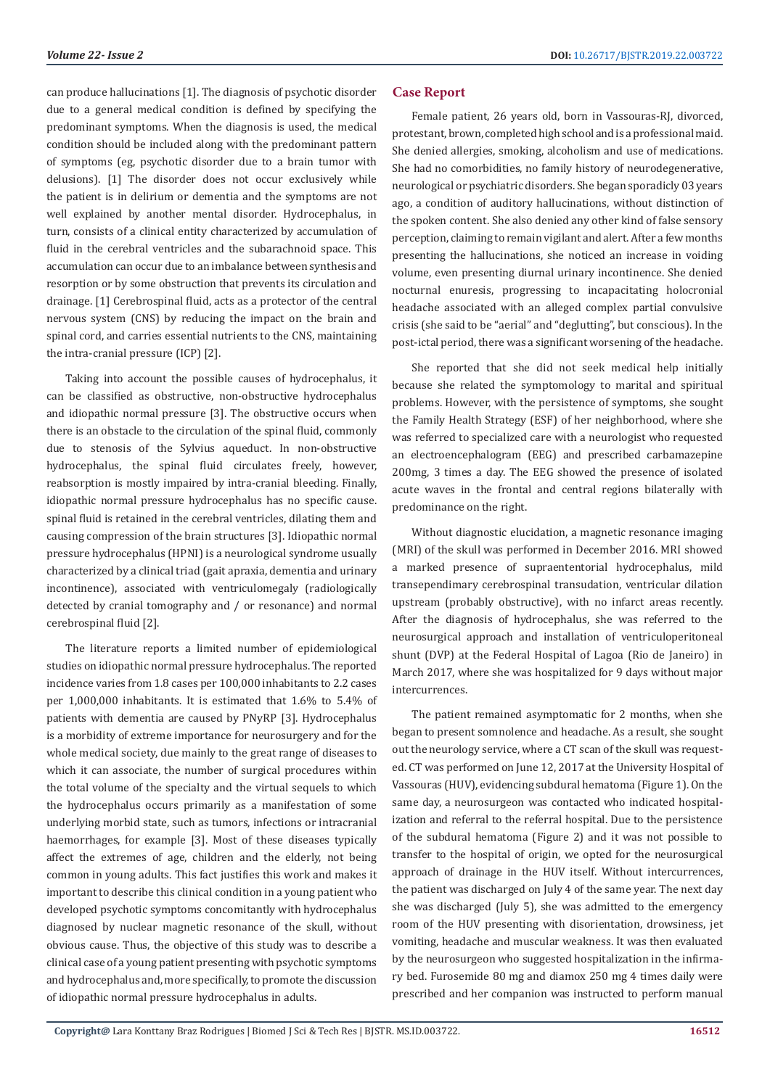can produce hallucinations [1]. The diagnosis of psychotic disorder due to a general medical condition is defined by specifying the predominant symptoms. When the diagnosis is used, the medical condition should be included along with the predominant pattern of symptoms (eg, psychotic disorder due to a brain tumor with delusions). [1] The disorder does not occur exclusively while the patient is in delirium or dementia and the symptoms are not well explained by another mental disorder. Hydrocephalus, in turn, consists of a clinical entity characterized by accumulation of fluid in the cerebral ventricles and the subarachnoid space. This accumulation can occur due to an imbalance between synthesis and resorption or by some obstruction that prevents its circulation and drainage. [1] Cerebrospinal fluid, acts as a protector of the central nervous system (CNS) by reducing the impact on the brain and spinal cord, and carries essential nutrients to the CNS, maintaining the intra-cranial pressure (ICP) [2].

Taking into account the possible causes of hydrocephalus, it can be classified as obstructive, non-obstructive hydrocephalus and idiopathic normal pressure [3]. The obstructive occurs when there is an obstacle to the circulation of the spinal fluid, commonly due to stenosis of the Sylvius aqueduct. In non-obstructive hydrocephalus, the spinal fluid circulates freely, however, reabsorption is mostly impaired by intra-cranial bleeding. Finally, idiopathic normal pressure hydrocephalus has no specific cause. spinal fluid is retained in the cerebral ventricles, dilating them and causing compression of the brain structures [3]. Idiopathic normal pressure hydrocephalus (HPNI) is a neurological syndrome usually characterized by a clinical triad (gait apraxia, dementia and urinary incontinence), associated with ventriculomegaly (radiologically detected by cranial tomography and / or resonance) and normal cerebrospinal fluid [2].

The literature reports a limited number of epidemiological studies on idiopathic normal pressure hydrocephalus. The reported incidence varies from 1.8 cases per 100,000 inhabitants to 2.2 cases per 1,000,000 inhabitants. It is estimated that 1.6% to 5.4% of patients with dementia are caused by PNyRP [3]. Hydrocephalus is a morbidity of extreme importance for neurosurgery and for the whole medical society, due mainly to the great range of diseases to which it can associate, the number of surgical procedures within the total volume of the specialty and the virtual sequels to which the hydrocephalus occurs primarily as a manifestation of some underlying morbid state, such as tumors, infections or intracranial haemorrhages, for example [3]. Most of these diseases typically affect the extremes of age, children and the elderly, not being common in young adults. This fact justifies this work and makes it important to describe this clinical condition in a young patient who developed psychotic symptoms concomitantly with hydrocephalus diagnosed by nuclear magnetic resonance of the skull, without obvious cause. Thus, the objective of this study was to describe a clinical case of a young patient presenting with psychotic symptoms and hydrocephalus and, more specifically, to promote the discussion of idiopathic normal pressure hydrocephalus in adults.

### **Case Report**

Female patient, 26 years old, born in Vassouras-RJ, divorced, protestant, brown, completed high school and is a professional maid. She denied allergies, smoking, alcoholism and use of medications. She had no comorbidities, no family history of neurodegenerative, neurological or psychiatric disorders. She began sporadicly 03 years ago, a condition of auditory hallucinations, without distinction of the spoken content. She also denied any other kind of false sensory perception, claiming to remain vigilant and alert. After a few months presenting the hallucinations, she noticed an increase in voiding volume, even presenting diurnal urinary incontinence. She denied nocturnal enuresis, progressing to incapacitating holocronial headache associated with an alleged complex partial convulsive crisis (she said to be "aerial" and "deglutting", but conscious). In the post-ictal period, there was a significant worsening of the headache.

She reported that she did not seek medical help initially because she related the symptomology to marital and spiritual problems. However, with the persistence of symptoms, she sought the Family Health Strategy (ESF) of her neighborhood, where she was referred to specialized care with a neurologist who requested an electroencephalogram (EEG) and prescribed carbamazepine 200mg, 3 times a day. The EEG showed the presence of isolated acute waves in the frontal and central regions bilaterally with predominance on the right.

Without diagnostic elucidation, a magnetic resonance imaging (MRI) of the skull was performed in December 2016. MRI showed a marked presence of supraententorial hydrocephalus, mild transependimary cerebrospinal transudation, ventricular dilation upstream (probably obstructive), with no infarct areas recently. After the diagnosis of hydrocephalus, she was referred to the neurosurgical approach and installation of ventriculoperitoneal shunt (DVP) at the Federal Hospital of Lagoa (Rio de Janeiro) in March 2017, where she was hospitalized for 9 days without major intercurrences.

The patient remained asymptomatic for 2 months, when she began to present somnolence and headache. As a result, she sought out the neurology service, where a CT scan of the skull was requested. CT was performed on June 12, 2017 at the University Hospital of Vassouras (HUV), evidencing subdural hematoma (Figure 1). On the same day, a neurosurgeon was contacted who indicated hospitalization and referral to the referral hospital. Due to the persistence of the subdural hematoma (Figure 2) and it was not possible to transfer to the hospital of origin, we opted for the neurosurgical approach of drainage in the HUV itself. Without intercurrences, the patient was discharged on July 4 of the same year. The next day she was discharged (July 5), she was admitted to the emergency room of the HUV presenting with disorientation, drowsiness, jet vomiting, headache and muscular weakness. It was then evaluated by the neurosurgeon who suggested hospitalization in the infirmary bed. Furosemide 80 mg and diamox 250 mg 4 times daily were prescribed and her companion was instructed to perform manual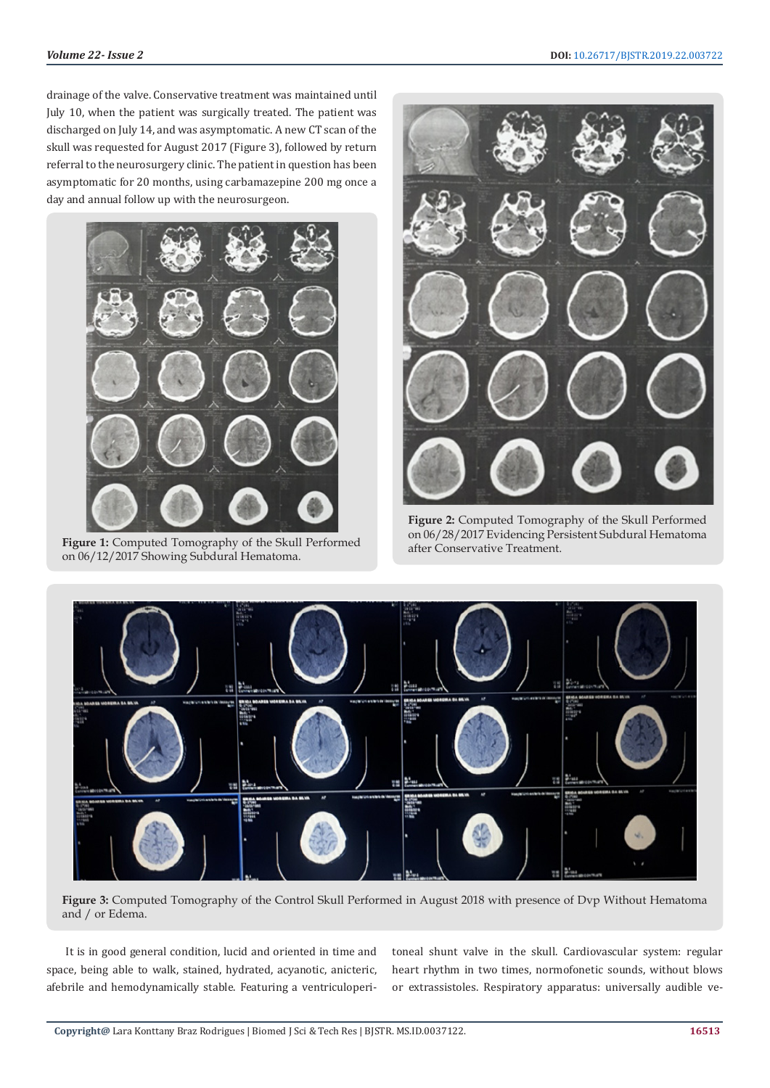drainage of the valve. Conservative treatment was maintained until July 10, when the patient was surgically treated. The patient was discharged on July 14, and was asymptomatic. A new CT scan of the skull was requested for August 2017 (Figure 3), followed by return referral to the neurosurgery clinic. The patient in question has been asymptomatic for 20 months, using carbamazepine 200 mg once a day and annual follow up with the neurosurgeon.



**Figure 1:** Computed Tomography of the Skull Performed on 06/12/2017 Showing Subdural Hematoma.



**Figure 2:** Computed Tomography of the Skull Performed on 06/28/2017 Evidencing Persistent Subdural Hematoma after Conservative Treatment.



**Figure 3:** Computed Tomography of the Control Skull Performed in August 2018 with presence of Dvp Without Hematoma and / or Edema.

It is in good general condition, lucid and oriented in time and space, being able to walk, stained, hydrated, acyanotic, anicteric, afebrile and hemodynamically stable. Featuring a ventriculoperitoneal shunt valve in the skull. Cardiovascular system: regular heart rhythm in two times, normofonetic sounds, without blows or extrassistoles. Respiratory apparatus: universally audible ve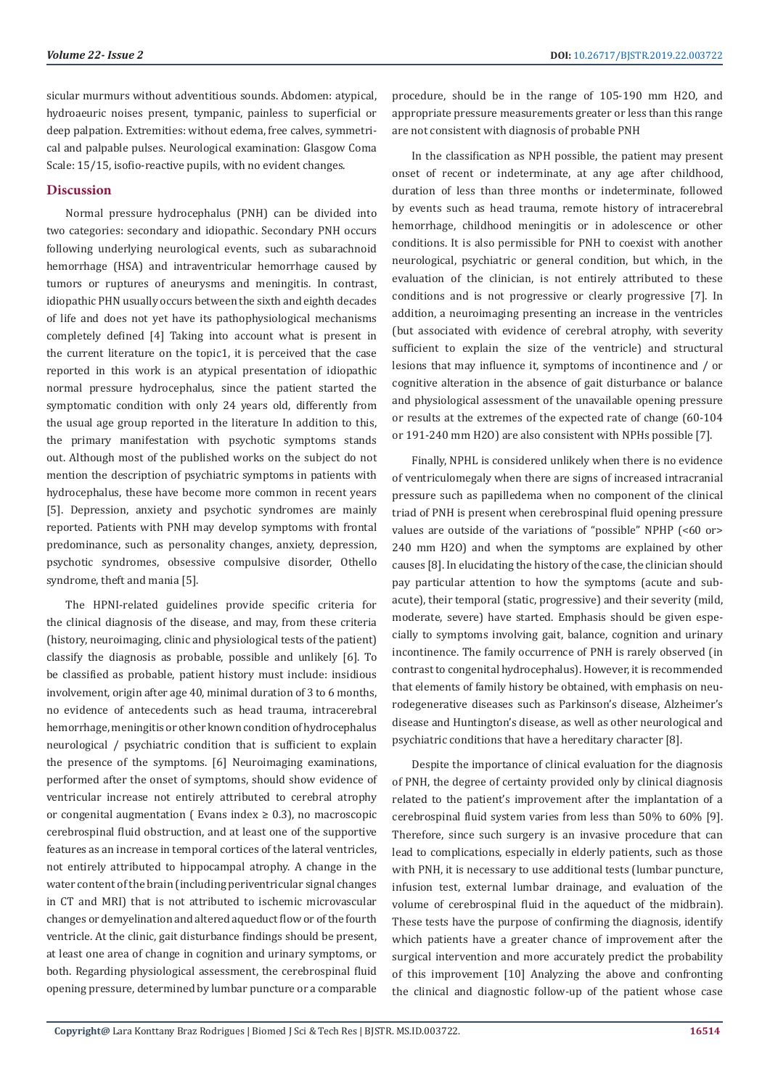sicular murmurs without adventitious sounds. Abdomen: atypical, hydroaeuric noises present, tympanic, painless to superficial or deep palpation. Extremities: without edema, free calves, symmetrical and palpable pulses. Neurological examination: Glasgow Coma Scale: 15/15, isofio-reactive pupils, with no evident changes.

### **Discussion**

Normal pressure hydrocephalus (PNH) can be divided into two categories: secondary and idiopathic. Secondary PNH occurs following underlying neurological events, such as subarachnoid hemorrhage (HSA) and intraventricular hemorrhage caused by tumors or ruptures of aneurysms and meningitis. In contrast, idiopathic PHN usually occurs between the sixth and eighth decades of life and does not yet have its pathophysiological mechanisms completely defined [4] Taking into account what is present in the current literature on the topic1, it is perceived that the case reported in this work is an atypical presentation of idiopathic normal pressure hydrocephalus, since the patient started the symptomatic condition with only 24 years old, differently from the usual age group reported in the literature In addition to this, the primary manifestation with psychotic symptoms stands out. Although most of the published works on the subject do not mention the description of psychiatric symptoms in patients with hydrocephalus, these have become more common in recent years [5]. Depression, anxiety and psychotic syndromes are mainly reported. Patients with PNH may develop symptoms with frontal predominance, such as personality changes, anxiety, depression, psychotic syndromes, obsessive compulsive disorder, Othello syndrome, theft and mania [5].

The HPNI-related guidelines provide specific criteria for the clinical diagnosis of the disease, and may, from these criteria (history, neuroimaging, clinic and physiological tests of the patient) classify the diagnosis as probable, possible and unlikely [6]. To be classified as probable, patient history must include: insidious involvement, origin after age 40, minimal duration of 3 to 6 months, no evidence of antecedents such as head trauma, intracerebral hemorrhage, meningitis or other known condition of hydrocephalus neurological / psychiatric condition that is sufficient to explain the presence of the symptoms. [6] Neuroimaging examinations, performed after the onset of symptoms, should show evidence of ventricular increase not entirely attributed to cerebral atrophy or congenital augmentation ( Evans index  $\geq$  0.3), no macroscopic cerebrospinal fluid obstruction, and at least one of the supportive features as an increase in temporal cortices of the lateral ventricles, not entirely attributed to hippocampal atrophy. A change in the water content of the brain (including periventricular signal changes in CT and MRI) that is not attributed to ischemic microvascular changes or demyelination and altered aqueduct flow or of the fourth ventricle. At the clinic, gait disturbance findings should be present, at least one area of change in cognition and urinary symptoms, or both. Regarding physiological assessment, the cerebrospinal fluid opening pressure, determined by lumbar puncture or a comparable

procedure, should be in the range of 105-190 mm H2O, and appropriate pressure measurements greater or less than this range are not consistent with diagnosis of probable PNH

In the classification as NPH possible, the patient may present onset of recent or indeterminate, at any age after childhood, duration of less than three months or indeterminate, followed by events such as head trauma, remote history of intracerebral hemorrhage, childhood meningitis or in adolescence or other conditions. It is also permissible for PNH to coexist with another neurological, psychiatric or general condition, but which, in the evaluation of the clinician, is not entirely attributed to these conditions and is not progressive or clearly progressive [7]. In addition, a neuroimaging presenting an increase in the ventricles (but associated with evidence of cerebral atrophy, with severity sufficient to explain the size of the ventricle) and structural lesions that may influence it, symptoms of incontinence and / or cognitive alteration in the absence of gait disturbance or balance and physiological assessment of the unavailable opening pressure or results at the extremes of the expected rate of change (60-104 or 191-240 mm H2O) are also consistent with NPHs possible [7].

Finally, NPHL is considered unlikely when there is no evidence of ventriculomegaly when there are signs of increased intracranial pressure such as papilledema when no component of the clinical triad of PNH is present when cerebrospinal fluid opening pressure values are outside of the variations of "possible" NPHP (<60 or> 240 mm H2O) and when the symptoms are explained by other causes [8]. In elucidating the history of the case, the clinician should pay particular attention to how the symptoms (acute and subacute), their temporal (static, progressive) and their severity (mild, moderate, severe) have started. Emphasis should be given especially to symptoms involving gait, balance, cognition and urinary incontinence. The family occurrence of PNH is rarely observed (in contrast to congenital hydrocephalus). However, it is recommended that elements of family history be obtained, with emphasis on neurodegenerative diseases such as Parkinson's disease, Alzheimer's disease and Huntington's disease, as well as other neurological and psychiatric conditions that have a hereditary character [8].

Despite the importance of clinical evaluation for the diagnosis of PNH, the degree of certainty provided only by clinical diagnosis related to the patient's improvement after the implantation of a cerebrospinal fluid system varies from less than 50% to 60% [9]. Therefore, since such surgery is an invasive procedure that can lead to complications, especially in elderly patients, such as those with PNH, it is necessary to use additional tests (lumbar puncture, infusion test, external lumbar drainage, and evaluation of the volume of cerebrospinal fluid in the aqueduct of the midbrain). These tests have the purpose of confirming the diagnosis, identify which patients have a greater chance of improvement after the surgical intervention and more accurately predict the probability of this improvement [10] Analyzing the above and confronting the clinical and diagnostic follow-up of the patient whose case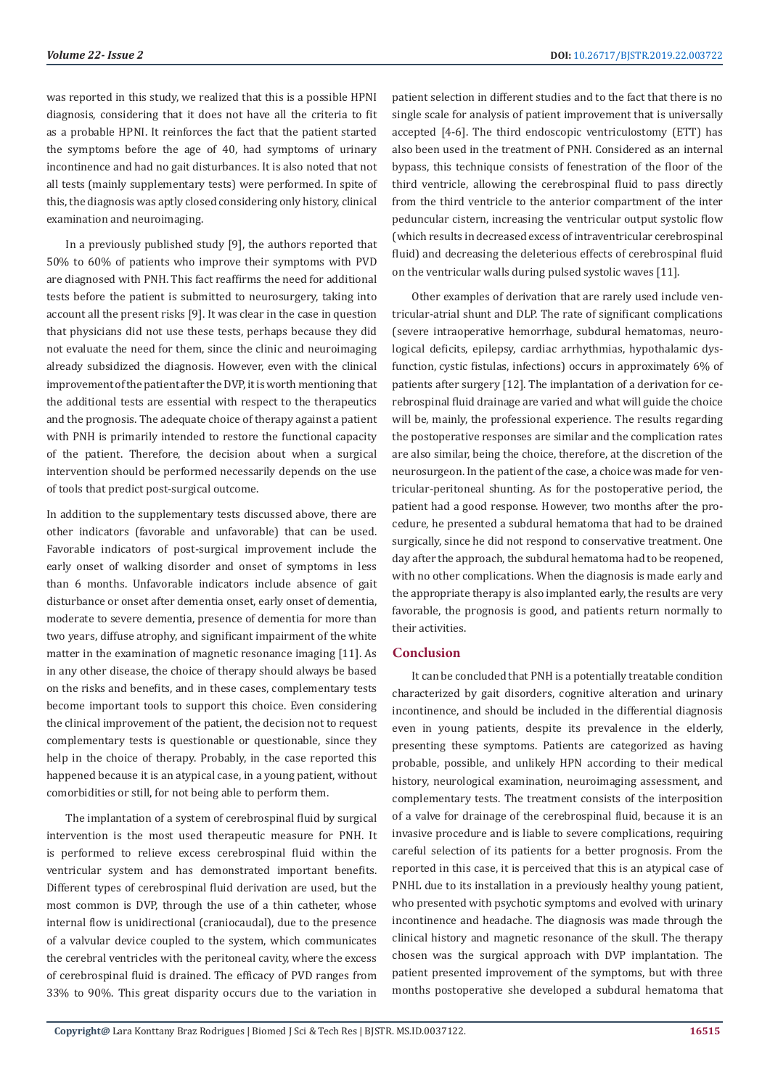was reported in this study, we realized that this is a possible HPNI diagnosis, considering that it does not have all the criteria to fit as a probable HPNI. It reinforces the fact that the patient started the symptoms before the age of 40, had symptoms of urinary incontinence and had no gait disturbances. It is also noted that not all tests (mainly supplementary tests) were performed. In spite of this, the diagnosis was aptly closed considering only history, clinical examination and neuroimaging.

In a previously published study [9], the authors reported that 50% to 60% of patients who improve their symptoms with PVD are diagnosed with PNH. This fact reaffirms the need for additional tests before the patient is submitted to neurosurgery, taking into account all the present risks [9]. It was clear in the case in question that physicians did not use these tests, perhaps because they did not evaluate the need for them, since the clinic and neuroimaging already subsidized the diagnosis. However, even with the clinical improvement of the patient after the DVP, it is worth mentioning that the additional tests are essential with respect to the therapeutics and the prognosis. The adequate choice of therapy against a patient with PNH is primarily intended to restore the functional capacity of the patient. Therefore, the decision about when a surgical intervention should be performed necessarily depends on the use of tools that predict post-surgical outcome.

In addition to the supplementary tests discussed above, there are other indicators (favorable and unfavorable) that can be used. Favorable indicators of post-surgical improvement include the early onset of walking disorder and onset of symptoms in less than 6 months. Unfavorable indicators include absence of gait disturbance or onset after dementia onset, early onset of dementia, moderate to severe dementia, presence of dementia for more than two years, diffuse atrophy, and significant impairment of the white matter in the examination of magnetic resonance imaging [11]. As in any other disease, the choice of therapy should always be based on the risks and benefits, and in these cases, complementary tests become important tools to support this choice. Even considering the clinical improvement of the patient, the decision not to request complementary tests is questionable or questionable, since they help in the choice of therapy. Probably, in the case reported this happened because it is an atypical case, in a young patient, without comorbidities or still, for not being able to perform them.

The implantation of a system of cerebrospinal fluid by surgical intervention is the most used therapeutic measure for PNH. It is performed to relieve excess cerebrospinal fluid within the ventricular system and has demonstrated important benefits. Different types of cerebrospinal fluid derivation are used, but the most common is DVP, through the use of a thin catheter, whose internal flow is unidirectional (craniocaudal), due to the presence of a valvular device coupled to the system, which communicates the cerebral ventricles with the peritoneal cavity, where the excess of cerebrospinal fluid is drained. The efficacy of PVD ranges from 33% to 90%. This great disparity occurs due to the variation in

patient selection in different studies and to the fact that there is no single scale for analysis of patient improvement that is universally accepted [4-6]. The third endoscopic ventriculostomy (ETT) has also been used in the treatment of PNH. Considered as an internal bypass, this technique consists of fenestration of the floor of the third ventricle, allowing the cerebrospinal fluid to pass directly from the third ventricle to the anterior compartment of the inter peduncular cistern, increasing the ventricular output systolic flow (which results in decreased excess of intraventricular cerebrospinal fluid) and decreasing the deleterious effects of cerebrospinal fluid on the ventricular walls during pulsed systolic waves [11].

Other examples of derivation that are rarely used include ventricular-atrial shunt and DLP. The rate of significant complications (severe intraoperative hemorrhage, subdural hematomas, neurological deficits, epilepsy, cardiac arrhythmias, hypothalamic dysfunction, cystic fistulas, infections) occurs in approximately 6% of patients after surgery [12]. The implantation of a derivation for cerebrospinal fluid drainage are varied and what will guide the choice will be, mainly, the professional experience. The results regarding the postoperative responses are similar and the complication rates are also similar, being the choice, therefore, at the discretion of the neurosurgeon. In the patient of the case, a choice was made for ventricular-peritoneal shunting. As for the postoperative period, the patient had a good response. However, two months after the procedure, he presented a subdural hematoma that had to be drained surgically, since he did not respond to conservative treatment. One day after the approach, the subdural hematoma had to be reopened, with no other complications. When the diagnosis is made early and the appropriate therapy is also implanted early, the results are very favorable, the prognosis is good, and patients return normally to their activities.

#### **Conclusion**

It can be concluded that PNH is a potentially treatable condition characterized by gait disorders, cognitive alteration and urinary incontinence, and should be included in the differential diagnosis even in young patients, despite its prevalence in the elderly, presenting these symptoms. Patients are categorized as having probable, possible, and unlikely HPN according to their medical history, neurological examination, neuroimaging assessment, and complementary tests. The treatment consists of the interposition of a valve for drainage of the cerebrospinal fluid, because it is an invasive procedure and is liable to severe complications, requiring careful selection of its patients for a better prognosis. From the reported in this case, it is perceived that this is an atypical case of PNHL due to its installation in a previously healthy young patient, who presented with psychotic symptoms and evolved with urinary incontinence and headache. The diagnosis was made through the clinical history and magnetic resonance of the skull. The therapy chosen was the surgical approach with DVP implantation. The patient presented improvement of the symptoms, but with three months postoperative she developed a subdural hematoma that